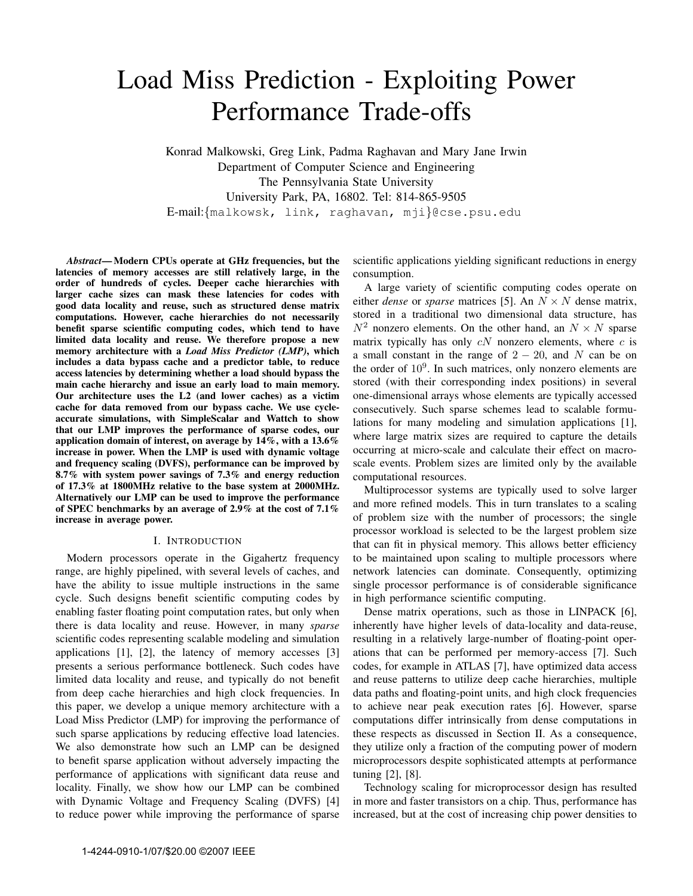# Load Miss Prediction - Exploiting Power Performance Trade-offs

Konrad Malkowski, Greg Link, Padma Raghavan and Mary Jane Irwin Department of Computer Science and Engineering The Pennsylvania State University University Park, PA, 16802. Tel: 814-865-9505 E-mail:{malkowsk, link, raghavan, mji}@cse.psu.edu

*Abstract*— Modern CPUs operate at GHz frequencies, but the latencies of memory accesses are still relatively large, in the order of hundreds of cycles. Deeper cache hierarchies with larger cache sizes can mask these latencies for codes with good data locality and reuse, such as structured dense matrix computations. However, cache hierarchies do not necessarily benefit sparse scientific computing codes, which tend to have limited data locality and reuse. We therefore propose a new memory architecture with a *Load Miss Predictor (LMP)*, which includes a data bypass cache and a predictor table, to reduce access latencies by determining whether a load should bypass the main cache hierarchy and issue an early load to main memory. Our architecture uses the L2 (and lower caches) as a victim cache for data removed from our bypass cache. We use cycleaccurate simulations, with SimpleScalar and Wattch to show that our LMP improves the performance of sparse codes, our application domain of interest, on average by 14%, with a 13.6% increase in power. When the LMP is used with dynamic voltage and frequency scaling (DVFS), performance can be improved by 8.7% with system power savings of 7.3% and energy reduction of 17.3% at 1800MHz relative to the base system at 2000MHz. Alternatively our LMP can be used to improve the performance of SPEC benchmarks by an average of 2.9% at the cost of 7.1% increase in average power.

## I. INTRODUCTION

Modern processors operate in the Gigahertz frequency range, are highly pipelined, with several levels of caches, and have the ability to issue multiple instructions in the same cycle. Such designs benefit scientific computing codes by enabling faster floating point computation rates, but only when there is data locality and reuse. However, in many *sparse* scientific codes representing scalable modeling and simulation applications [1], [2], the latency of memory accesses [3] presents a serious performance bottleneck. Such codes have limited data locality and reuse, and typically do not benefit from deep cache hierarchies and high clock frequencies. In this paper, we develop a unique memory architecture with a Load Miss Predictor (LMP) for improving the performance of such sparse applications by reducing effective load latencies. We also demonstrate how such an LMP can be designed to benefit sparse application without adversely impacting the performance of applications with significant data reuse and locality. Finally, we show how our LMP can be combined with Dynamic Voltage and Frequency Scaling (DVFS) [4] to reduce power while improving the performance of sparse

scientific applications yielding significant reductions in energy consumption.

A large variety of scientific computing codes operate on either *dense* or *sparse* matrices [5]. An  $N \times N$  dense matrix, stored in a traditional two dimensional data structure, has  $N^2$  nonzero elements. On the other hand, an  $N \times N$  sparse matrix typically has only  $cN$  nonzero elements, where  $c$  is a small constant in the range of  $2 - 20$ , and N can be on the order of  $10<sup>9</sup>$ . In such matrices, only nonzero elements are stored (with their corresponding index positions) in several one-dimensional arrays whose elements are typically accessed consecutively. Such sparse schemes lead to scalable formulations for many modeling and simulation applications [1], where large matrix sizes are required to capture the details occurring at micro-scale and calculate their effect on macroscale events. Problem sizes are limited only by the available computational resources.

Multiprocessor systems are typically used to solve larger and more refined models. This in turn translates to a scaling of problem size with the number of processors; the single processor workload is selected to be the largest problem size that can fit in physical memory. This allows better efficiency to be maintained upon scaling to multiple processors where network latencies can dominate. Consequently, optimizing single processor performance is of considerable significance in high performance scientific computing.

Dense matrix operations, such as those in LINPACK [6], inherently have higher levels of data-locality and data-reuse, resulting in a relatively large-number of floating-point operations that can be performed per memory-access [7]. Such codes, for example in ATLAS [7], have optimized data access and reuse patterns to utilize deep cache hierarchies, multiple data paths and floating-point units, and high clock frequencies to achieve near peak execution rates [6]. However, sparse computations differ intrinsically from dense computations in these respects as discussed in Section II. As a consequence, they utilize only a fraction of the computing power of modern microprocessors despite sophisticated attempts at performance tuning [2], [8].

Technology scaling for microprocessor design has resulted in more and faster transistors on a chip. Thus, performance has increased, but at the cost of increasing chip power densities to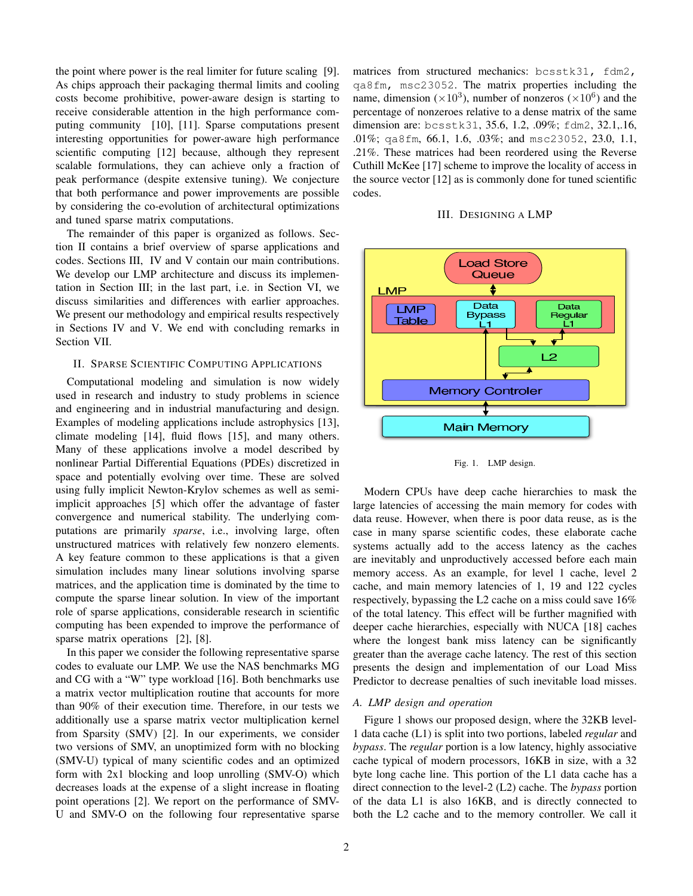the point where power is the real limiter for future scaling [9]. As chips approach their packaging thermal limits and cooling costs become prohibitive, power-aware design is starting to receive considerable attention in the high performance computing community [10], [11]. Sparse computations present interesting opportunities for power-aware high performance scientific computing [12] because, although they represent scalable formulations, they can achieve only a fraction of peak performance (despite extensive tuning). We conjecture that both performance and power improvements are possible by considering the co-evolution of architectural optimizations and tuned sparse matrix computations.

The remainder of this paper is organized as follows. Section II contains a brief overview of sparse applications and codes. Sections III, IV and V contain our main contributions. We develop our LMP architecture and discuss its implementation in Section III; in the last part, i.e. in Section VI, we discuss similarities and differences with earlier approaches. We present our methodology and empirical results respectively in Sections IV and V. We end with concluding remarks in Section VII.

## II. SPARSE SCIENTIFIC COMPUTING APPLICATIONS

Computational modeling and simulation is now widely used in research and industry to study problems in science and engineering and in industrial manufacturing and design. Examples of modeling applications include astrophysics [13], climate modeling [14], fluid flows [15], and many others. Many of these applications involve a model described by nonlinear Partial Differential Equations (PDEs) discretized in space and potentially evolving over time. These are solved using fully implicit Newton-Krylov schemes as well as semiimplicit approaches [5] which offer the advantage of faster convergence and numerical stability. The underlying computations are primarily *sparse*, i.e., involving large, often unstructured matrices with relatively few nonzero elements. A key feature common to these applications is that a given simulation includes many linear solutions involving sparse matrices, and the application time is dominated by the time to compute the sparse linear solution. In view of the important role of sparse applications, considerable research in scientific computing has been expended to improve the performance of sparse matrix operations [2], [8].

In this paper we consider the following representative sparse codes to evaluate our LMP. We use the NAS benchmarks MG and CG with a "W" type workload [16]. Both benchmarks use a matrix vector multiplication routine that accounts for more than 90% of their execution time. Therefore, in our tests we additionally use a sparse matrix vector multiplication kernel from Sparsity (SMV) [2]. In our experiments, we consider two versions of SMV, an unoptimized form with no blocking (SMV-U) typical of many scientific codes and an optimized form with 2x1 blocking and loop unrolling (SMV-O) which decreases loads at the expense of a slight increase in floating point operations [2]. We report on the performance of SMV-U and SMV-O on the following four representative sparse matrices from structured mechanics: bcsstk31, fdm2, qa8fm, msc23052. The matrix properties including the name, dimension ( $\times 10^3$ ), number of nonzeros ( $\times 10^6$ ) and the percentage of nonzeroes relative to a dense matrix of the same dimension are: bcsstk31, 35.6, 1.2, .09%; fdm2, 32.1,.16, .01%; qa8fm, 66.1, 1.6, .03%; and msc23052, 23.0, 1.1, .21%. These matrices had been reordered using the Reverse Cuthill McKee [17] scheme to improve the locality of access in the source vector [12] as is commonly done for tuned scientific codes.





Fig. 1. LMP design.

Modern CPUs have deep cache hierarchies to mask the large latencies of accessing the main memory for codes with data reuse. However, when there is poor data reuse, as is the case in many sparse scientific codes, these elaborate cache systems actually add to the access latency as the caches are inevitably and unproductively accessed before each main memory access. As an example, for level 1 cache, level 2 cache, and main memory latencies of 1, 19 and 122 cycles respectively, bypassing the L2 cache on a miss could save 16% of the total latency. This effect will be further magnified with deeper cache hierarchies, especially with NUCA [18] caches where the longest bank miss latency can be significantly greater than the average cache latency. The rest of this section presents the design and implementation of our Load Miss Predictor to decrease penalties of such inevitable load misses.

## *A. LMP design and operation*

Figure 1 shows our proposed design, where the 32KB level-1 data cache (L1) is split into two portions, labeled *regular* and *bypass*. The *regular* portion is a low latency, highly associative cache typical of modern processors, 16KB in size, with a 32 byte long cache line. This portion of the L1 data cache has a direct connection to the level-2 (L2) cache. The *bypass* portion of the data L1 is also 16KB, and is directly connected to both the L2 cache and to the memory controller. We call it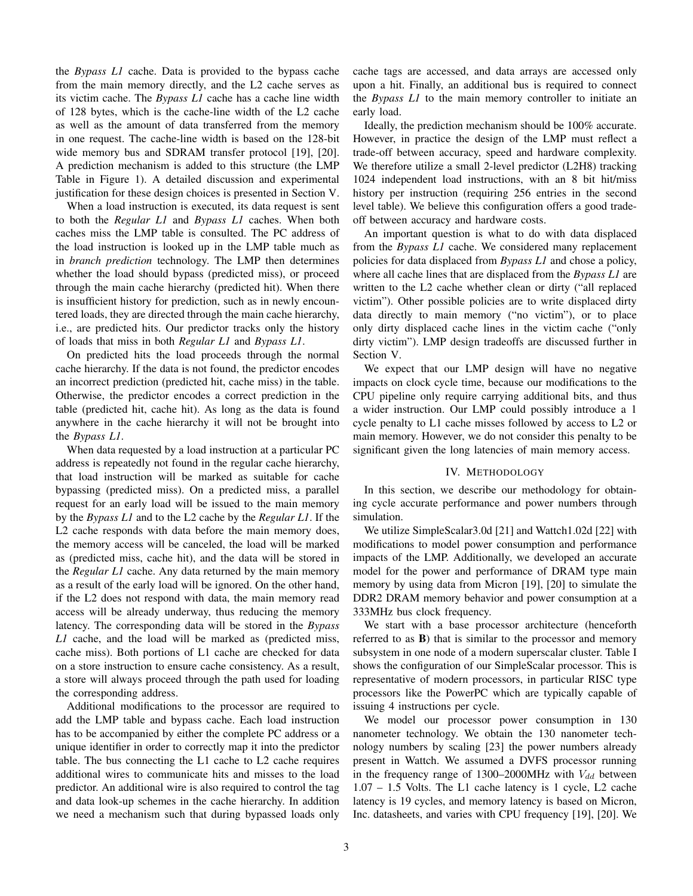the *Bypass L1* cache. Data is provided to the bypass cache from the main memory directly, and the L2 cache serves as its victim cache. The *Bypass L1* cache has a cache line width of 128 bytes, which is the cache-line width of the L2 cache as well as the amount of data transferred from the memory in one request. The cache-line width is based on the 128-bit wide memory bus and SDRAM transfer protocol [19], [20]. A prediction mechanism is added to this structure (the LMP Table in Figure 1). A detailed discussion and experimental justification for these design choices is presented in Section V.

When a load instruction is executed, its data request is sent to both the *Regular L1* and *Bypass L1* caches. When both caches miss the LMP table is consulted. The PC address of the load instruction is looked up in the LMP table much as in *branch prediction* technology. The LMP then determines whether the load should bypass (predicted miss), or proceed through the main cache hierarchy (predicted hit). When there is insufficient history for prediction, such as in newly encountered loads, they are directed through the main cache hierarchy, i.e., are predicted hits. Our predictor tracks only the history of loads that miss in both *Regular L1* and *Bypass L1*.

On predicted hits the load proceeds through the normal cache hierarchy. If the data is not found, the predictor encodes an incorrect prediction (predicted hit, cache miss) in the table. Otherwise, the predictor encodes a correct prediction in the table (predicted hit, cache hit). As long as the data is found anywhere in the cache hierarchy it will not be brought into the *Bypass L1*.

When data requested by a load instruction at a particular PC address is repeatedly not found in the regular cache hierarchy, that load instruction will be marked as suitable for cache bypassing (predicted miss). On a predicted miss, a parallel request for an early load will be issued to the main memory by the *Bypass L1* and to the L2 cache by the *Regular L1*. If the L<sub>2</sub> cache responds with data before the main memory does, the memory access will be canceled, the load will be marked as (predicted miss, cache hit), and the data will be stored in the *Regular L1* cache. Any data returned by the main memory as a result of the early load will be ignored. On the other hand, if the L2 does not respond with data, the main memory read access will be already underway, thus reducing the memory latency. The corresponding data will be stored in the *Bypass L1* cache, and the load will be marked as (predicted miss, cache miss). Both portions of L1 cache are checked for data on a store instruction to ensure cache consistency. As a result, a store will always proceed through the path used for loading the corresponding address.

Additional modifications to the processor are required to add the LMP table and bypass cache. Each load instruction has to be accompanied by either the complete PC address or a unique identifier in order to correctly map it into the predictor table. The bus connecting the L1 cache to L2 cache requires additional wires to communicate hits and misses to the load predictor. An additional wire is also required to control the tag and data look-up schemes in the cache hierarchy. In addition we need a mechanism such that during bypassed loads only cache tags are accessed, and data arrays are accessed only upon a hit. Finally, an additional bus is required to connect the *Bypass L1* to the main memory controller to initiate an early load.

Ideally, the prediction mechanism should be 100% accurate. However, in practice the design of the LMP must reflect a trade-off between accuracy, speed and hardware complexity. We therefore utilize a small 2-level predictor (L2H8) tracking 1024 independent load instructions, with an 8 bit hit/miss history per instruction (requiring 256 entries in the second level table). We believe this configuration offers a good tradeoff between accuracy and hardware costs.

An important question is what to do with data displaced from the *Bypass L1* cache. We considered many replacement policies for data displaced from *Bypass L1* and chose a policy, where all cache lines that are displaced from the *Bypass L1* are written to the L2 cache whether clean or dirty ("all replaced victim"). Other possible policies are to write displaced dirty data directly to main memory ("no victim"), or to place only dirty displaced cache lines in the victim cache ("only dirty victim"). LMP design tradeoffs are discussed further in Section V.

We expect that our LMP design will have no negative impacts on clock cycle time, because our modifications to the CPU pipeline only require carrying additional bits, and thus a wider instruction. Our LMP could possibly introduce a 1 cycle penalty to L1 cache misses followed by access to L2 or main memory. However, we do not consider this penalty to be significant given the long latencies of main memory access.

#### IV. METHODOLOGY

In this section, we describe our methodology for obtaining cycle accurate performance and power numbers through simulation.

We utilize SimpleScalar3.0d [21] and Wattch1.02d [22] with modifications to model power consumption and performance impacts of the LMP. Additionally, we developed an accurate model for the power and performance of DRAM type main memory by using data from Micron [19], [20] to simulate the DDR2 DRAM memory behavior and power consumption at a 333MHz bus clock frequency.

We start with a base processor architecture (henceforth referred to as B) that is similar to the processor and memory subsystem in one node of a modern superscalar cluster. Table I shows the configuration of our SimpleScalar processor. This is representative of modern processors, in particular RISC type processors like the PowerPC which are typically capable of issuing 4 instructions per cycle.

We model our processor power consumption in 130 nanometer technology. We obtain the 130 nanometer technology numbers by scaling [23] the power numbers already present in Wattch. We assumed a DVFS processor running in the frequency range of 1300–2000MHz with  $V_{dd}$  between 1.07 – 1.5 Volts. The L1 cache latency is 1 cycle, L2 cache latency is 19 cycles, and memory latency is based on Micron, Inc. datasheets, and varies with CPU frequency [19], [20]. We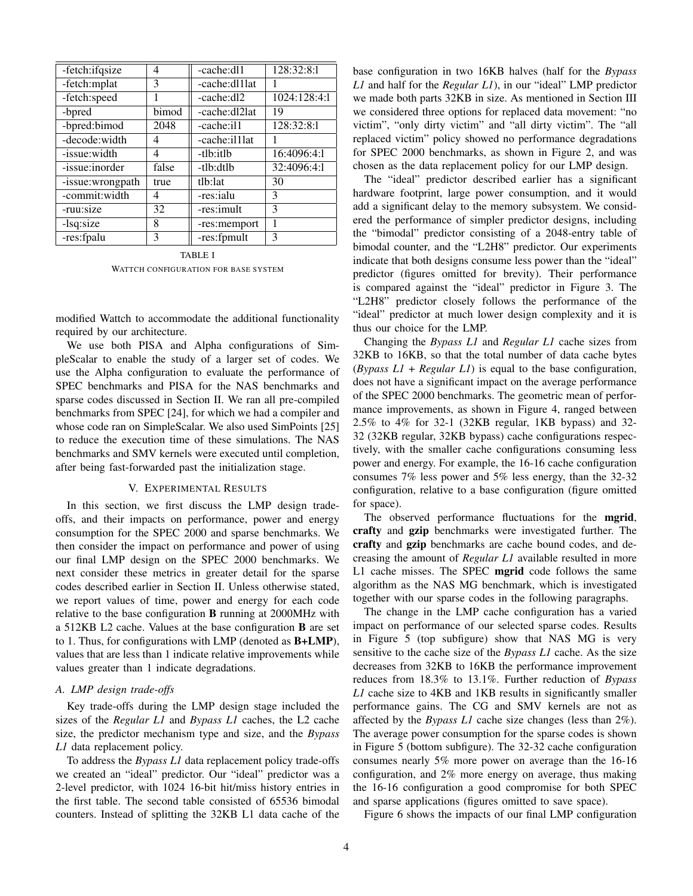| -fetch:ifqsize   | 4     | -cache:dl1    | 128:32:8:1   |
|------------------|-------|---------------|--------------|
| -fetch:mplat     | 3     | -cache:dl1lat |              |
| -fetch:speed     |       | -cache:dl2    | 1024:128:4:1 |
| -bpred           | bimod | -cache:dl2lat | 19           |
| -bpred:bimod     | 2048  | -cache:il1    | 128:32:8:1   |
| -decode:width    | 4     | -cache:illlat |              |
| -issue: width    | 4     | -tlb:itlb     | 16:4096:4:1  |
| -issue:inorder   | false | -tlb:dtlb     | 32:4096:4:1  |
| -issue:wrongpath | true  | tlb:lat       | 30           |
| -commit:width    | 4     | -res:ialu     | 3            |
| -ruu:size        | 32    | -res:imult    | 3            |
| -lsq:size        | 8     | -res:memport  |              |
| -res:fpalu       | 3     | -res:fpmult   | 3            |

TABLE I WATTCH CONFIGURATION FOR BASE SYSTEM

modified Wattch to accommodate the additional functionality required by our architecture.

We use both PISA and Alpha configurations of SimpleScalar to enable the study of a larger set of codes. We use the Alpha configuration to evaluate the performance of SPEC benchmarks and PISA for the NAS benchmarks and sparse codes discussed in Section II. We ran all pre-compiled benchmarks from SPEC [24], for which we had a compiler and whose code ran on SimpleScalar. We also used SimPoints [25] to reduce the execution time of these simulations. The NAS benchmarks and SMV kernels were executed until completion, after being fast-forwarded past the initialization stage.

#### V. EXPERIMENTAL RESULTS

In this section, we first discuss the LMP design tradeoffs, and their impacts on performance, power and energy consumption for the SPEC 2000 and sparse benchmarks. We then consider the impact on performance and power of using our final LMP design on the SPEC 2000 benchmarks. We next consider these metrics in greater detail for the sparse codes described earlier in Section II. Unless otherwise stated, we report values of time, power and energy for each code relative to the base configuration B running at 2000MHz with a 512KB L2 cache. Values at the base configuration B are set to 1. Thus, for configurations with LMP (denoted as B+LMP), values that are less than 1 indicate relative improvements while values greater than 1 indicate degradations.

## *A. LMP design trade-offs*

Key trade-offs during the LMP design stage included the sizes of the *Regular L1* and *Bypass L1* caches, the L2 cache size, the predictor mechanism type and size, and the *Bypass L1* data replacement policy.

To address the *Bypass L1* data replacement policy trade-offs we created an "ideal" predictor. Our "ideal" predictor was a 2-level predictor, with 1024 16-bit hit/miss history entries in the first table. The second table consisted of 65536 bimodal counters. Instead of splitting the 32KB L1 data cache of the base configuration in two 16KB halves (half for the *Bypass L1* and half for the *Regular L1*), in our "ideal" LMP predictor we made both parts 32KB in size. As mentioned in Section III we considered three options for replaced data movement: "no victim", "only dirty victim" and "all dirty victim". The "all replaced victim" policy showed no performance degradations for SPEC 2000 benchmarks, as shown in Figure 2, and was chosen as the data replacement policy for our LMP design.

The "ideal" predictor described earlier has a significant hardware footprint, large power consumption, and it would add a significant delay to the memory subsystem. We considered the performance of simpler predictor designs, including the "bimodal" predictor consisting of a 2048-entry table of bimodal counter, and the "L2H8" predictor. Our experiments indicate that both designs consume less power than the "ideal" predictor (figures omitted for brevity). Their performance is compared against the "ideal" predictor in Figure 3. The "L2H8" predictor closely follows the performance of the "ideal" predictor at much lower design complexity and it is thus our choice for the LMP.

Changing the *Bypass L1* and *Regular L1* cache sizes from 32KB to 16KB, so that the total number of data cache bytes  $(By p a s s L1 + Regular L1)$  is equal to the base configuration, does not have a significant impact on the average performance of the SPEC 2000 benchmarks. The geometric mean of performance improvements, as shown in Figure 4, ranged between 2.5% to 4% for 32-1 (32KB regular, 1KB bypass) and 32- 32 (32KB regular, 32KB bypass) cache configurations respectively, with the smaller cache configurations consuming less power and energy. For example, the 16-16 cache configuration consumes 7% less power and 5% less energy, than the 32-32 configuration, relative to a base configuration (figure omitted for space).

The observed performance fluctuations for the mgrid, crafty and gzip benchmarks were investigated further. The crafty and gzip benchmarks are cache bound codes, and decreasing the amount of *Regular L1* available resulted in more L1 cache misses. The SPEC mgrid code follows the same algorithm as the NAS MG benchmark, which is investigated together with our sparse codes in the following paragraphs.

The change in the LMP cache configuration has a varied impact on performance of our selected sparse codes. Results in Figure 5 (top subfigure) show that NAS MG is very sensitive to the cache size of the *Bypass L1* cache. As the size decreases from 32KB to 16KB the performance improvement reduces from 18.3% to 13.1%. Further reduction of *Bypass L1* cache size to 4KB and 1KB results in significantly smaller performance gains. The CG and SMV kernels are not as affected by the *Bypass L1* cache size changes (less than 2%). The average power consumption for the sparse codes is shown in Figure 5 (bottom subfigure). The 32-32 cache configuration consumes nearly 5% more power on average than the 16-16 configuration, and 2% more energy on average, thus making the 16-16 configuration a good compromise for both SPEC and sparse applications (figures omitted to save space).

Figure 6 shows the impacts of our final LMP configuration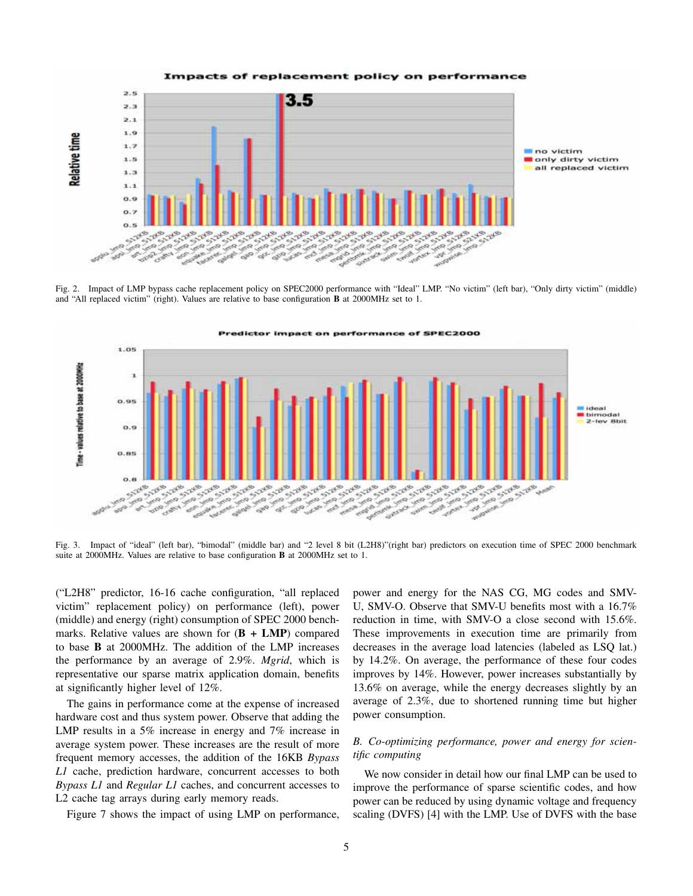

Fig. 2. Impact of LMP bypass cache replacement policy on SPEC2000 performance with "Ideal" LMP. "No victim" (left bar), "Only dirty victim" (middle) and "All replaced victim" (right). Values are relative to base configuration B at 2000MHz set to 1.



Fig. 3. Impact of "ideal" (left bar), "bimodal" (middle bar) and "2 level 8 bit (L2H8)"(right bar) predictors on execution time of SPEC 2000 benchmark suite at 2000MHz. Values are relative to base configuration B at 2000MHz set to 1.

("L2H8" predictor, 16-16 cache configuration, "all replaced victim" replacement policy) on performance (left), power (middle) and energy (right) consumption of SPEC 2000 benchmarks. Relative values are shown for  $(B + LMP)$  compared to base B at 2000MHz. The addition of the LMP increases the performance by an average of 2.9%. *Mgrid*, which is representative our sparse matrix application domain, benefits at significantly higher level of 12%.

The gains in performance come at the expense of increased hardware cost and thus system power. Observe that adding the LMP results in a 5% increase in energy and 7% increase in average system power. These increases are the result of more frequent memory accesses, the addition of the 16KB *Bypass L1* cache, prediction hardware, concurrent accesses to both *Bypass L1* and *Regular L1* caches, and concurrent accesses to L2 cache tag arrays during early memory reads.

Figure 7 shows the impact of using LMP on performance,

power and energy for the NAS CG, MG codes and SMV-U, SMV-O. Observe that SMV-U benefits most with a 16.7% reduction in time, with SMV-O a close second with 15.6%. These improvements in execution time are primarily from decreases in the average load latencies (labeled as LSQ lat.) by 14.2%. On average, the performance of these four codes improves by 14%. However, power increases substantially by 13.6% on average, while the energy decreases slightly by an average of 2.3%, due to shortened running time but higher power consumption.

## *B. Co-optimizing performance, power and energy for scientific computing*

We now consider in detail how our final LMP can be used to improve the performance of sparse scientific codes, and how power can be reduced by using dynamic voltage and frequency scaling (DVFS) [4] with the LMP. Use of DVFS with the base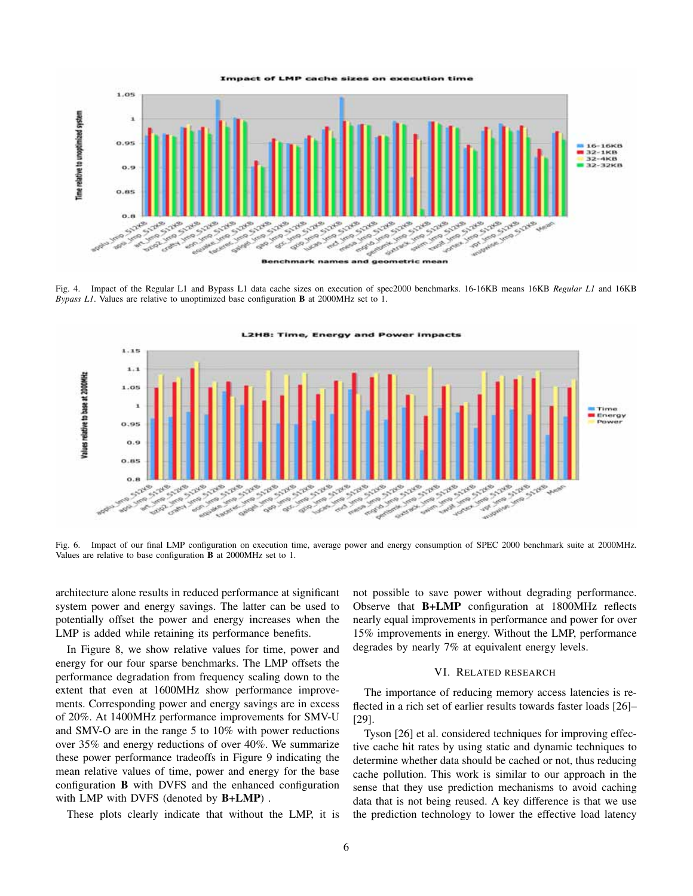

Fig. 4. Impact of the Regular L1 and Bypass L1 data cache sizes on execution of spec2000 benchmarks. 16-16KB means 16KB *Regular L1* and 16KB *Bypass L1*. Values are relative to unoptimized base configuration B at 2000MHz set to 1.



Fig. 6. Impact of our final LMP configuration on execution time, average power and energy consumption of SPEC 2000 benchmark suite at 2000MHz. Values are relative to base configuration B at 2000MHz set to 1.

architecture alone results in reduced performance at significant system power and energy savings. The latter can be used to potentially offset the power and energy increases when the LMP is added while retaining its performance benefits.

In Figure 8, we show relative values for time, power and energy for our four sparse benchmarks. The LMP offsets the performance degradation from frequency scaling down to the extent that even at 1600MHz show performance improvements. Corresponding power and energy savings are in excess of 20%. At 1400MHz performance improvements for SMV-U and SMV-O are in the range 5 to 10% with power reductions over 35% and energy reductions of over 40%. We summarize these power performance tradeoffs in Figure 9 indicating the mean relative values of time, power and energy for the base configuration B with DVFS and the enhanced configuration with LMP with DVFS (denoted by **B+LMP**).

These plots clearly indicate that without the LMP, it is

not possible to save power without degrading performance. Observe that B+LMP configuration at 1800MHz reflects nearly equal improvements in performance and power for over 15% improvements in energy. Without the LMP, performance degrades by nearly 7% at equivalent energy levels.

## VI. RELATED RESEARCH

The importance of reducing memory access latencies is reflected in a rich set of earlier results towards faster loads [26]– [29].

Tyson [26] et al. considered techniques for improving effective cache hit rates by using static and dynamic techniques to determine whether data should be cached or not, thus reducing cache pollution. This work is similar to our approach in the sense that they use prediction mechanisms to avoid caching data that is not being reused. A key difference is that we use the prediction technology to lower the effective load latency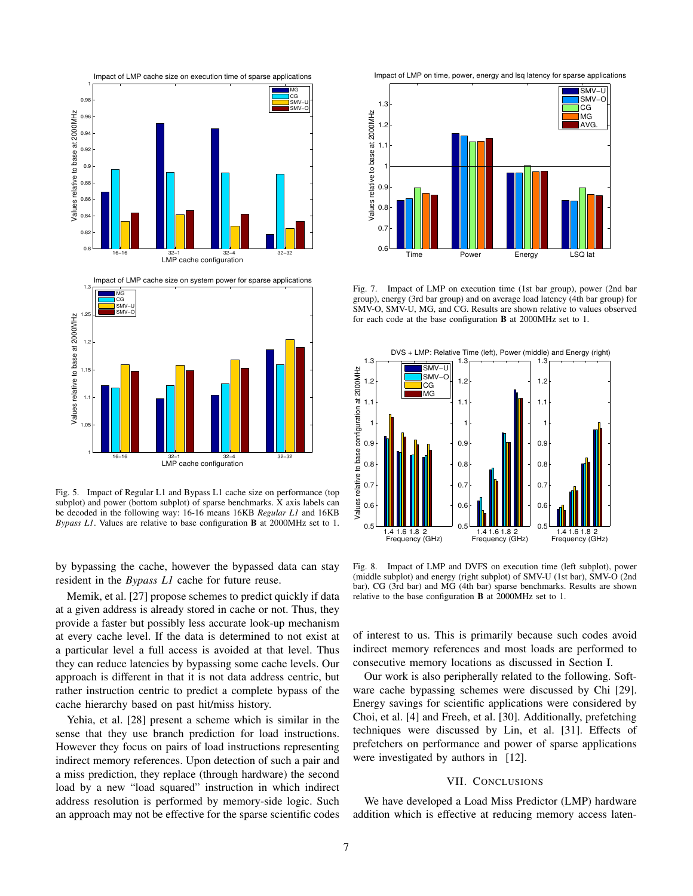

Fig. 5. Impact of Regular L1 and Bypass L1 cache size on performance (top subplot) and power (bottom subplot) of sparse benchmarks. X axis labels can be decoded in the following way: 16-16 means 16KB *Regular L1* and 16KB *Bypass L1*. Values are relative to base configuration B at 2000MHz set to 1.

by bypassing the cache, however the bypassed data can stay resident in the *Bypass L1* cache for future reuse.

Memik, et al. [27] propose schemes to predict quickly if data at a given address is already stored in cache or not. Thus, they provide a faster but possibly less accurate look-up mechanism at every cache level. If the data is determined to not exist at a particular level a full access is avoided at that level. Thus they can reduce latencies by bypassing some cache levels. Our approach is different in that it is not data address centric, but rather instruction centric to predict a complete bypass of the cache hierarchy based on past hit/miss history.

Yehia, et al. [28] present a scheme which is similar in the sense that they use branch prediction for load instructions. However they focus on pairs of load instructions representing indirect memory references. Upon detection of such a pair and a miss prediction, they replace (through hardware) the second load by a new "load squared" instruction in which indirect address resolution is performed by memory-side logic. Such an approach may not be effective for the sparse scientific codes





Fig. 7. Impact of LMP on execution time (1st bar group), power (2nd bar group), energy (3rd bar group) and on average load latency (4th bar group) for SMV-O, SMV-U, MG, and CG. Results are shown relative to values observed for each code at the base configuration B at 2000MHz set to 1.



Fig. 8. Impact of LMP and DVFS on execution time (left subplot), power (middle subplot) and energy (right subplot) of SMV-U (1st bar), SMV-O (2nd bar), CG (3rd bar) and MG (4th bar) sparse benchmarks. Results are shown relative to the base configuration B at 2000MHz set to 1.

of interest to us. This is primarily because such codes avoid indirect memory references and most loads are performed to consecutive memory locations as discussed in Section I.

Our work is also peripherally related to the following. Software cache bypassing schemes were discussed by Chi [29]. Energy savings for scientific applications were considered by Choi, et al. [4] and Freeh, et al. [30]. Additionally, prefetching techniques were discussed by Lin, et al. [31]. Effects of prefetchers on performance and power of sparse applications were investigated by authors in [12].

#### VII. CONCLUSIONS

We have developed a Load Miss Predictor (LMP) hardware addition which is effective at reducing memory access laten-